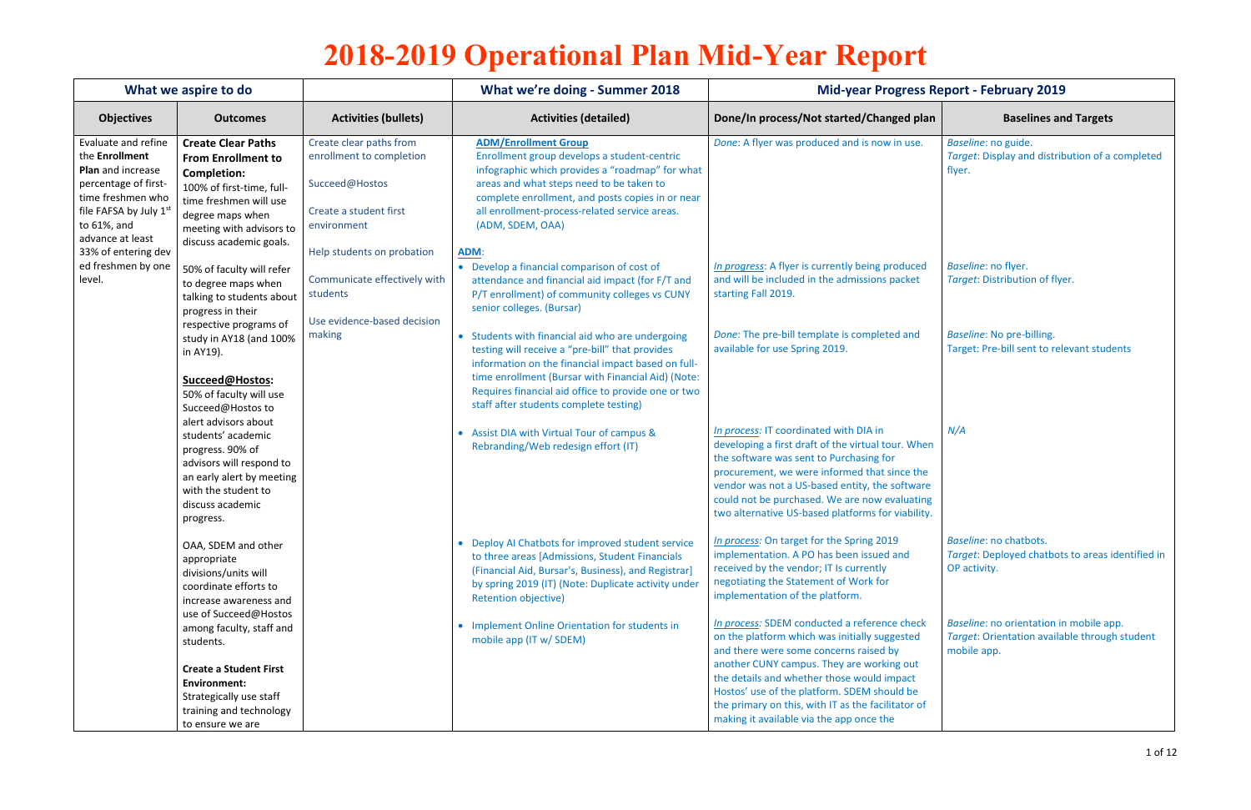| What we aspire to do                                                                                                                                                        |                                                                                                                                                                                                                |                                                                                                                | What we're doing - Summer 2018                                                                                                                                                                                                                                                                                   | <b>Mid-year Progress Report - February 2019</b>                                                                                                                                                                                                                                                                                                                                     |                                                                                                         |  |
|-----------------------------------------------------------------------------------------------------------------------------------------------------------------------------|----------------------------------------------------------------------------------------------------------------------------------------------------------------------------------------------------------------|----------------------------------------------------------------------------------------------------------------|------------------------------------------------------------------------------------------------------------------------------------------------------------------------------------------------------------------------------------------------------------------------------------------------------------------|-------------------------------------------------------------------------------------------------------------------------------------------------------------------------------------------------------------------------------------------------------------------------------------------------------------------------------------------------------------------------------------|---------------------------------------------------------------------------------------------------------|--|
| <b>Objectives</b>                                                                                                                                                           | <b>Outcomes</b>                                                                                                                                                                                                | <b>Activities (bullets)</b>                                                                                    | <b>Activities (detailed)</b>                                                                                                                                                                                                                                                                                     | Done/In process/Not started/Changed plan                                                                                                                                                                                                                                                                                                                                            | <b>Baselines and Targets</b>                                                                            |  |
| Evaluate and refine<br>the <b>Enrollment</b><br>Plan and increase<br>percentage of first-<br>time freshmen who<br>file FAFSA by July 1st<br>to 61%, and<br>advance at least | <b>Create Clear Paths</b><br><b>From Enrollment to</b><br><b>Completion:</b><br>100% of first-time, full-<br>time freshmen will use<br>degree maps when<br>meeting with advisors to<br>discuss academic goals. | Create clear paths from<br>enrollment to completion<br>Succeed@Hostos<br>Create a student first<br>environment | <b>ADM/Enrollment Group</b><br>Enrollment group develops a student-centric<br>infographic which provides a "roadmap" for what<br>areas and what steps need to be taken to<br>complete enrollment, and posts copies in or near<br>all enrollment-process-related service areas.<br>(ADM, SDEM, OAA)               | Done: A flyer was produced and is now in use.                                                                                                                                                                                                                                                                                                                                       | Baseline: no guide.<br>Target: Display and distribution of a completed<br>flyer.                        |  |
| 33% of entering dev<br>ed freshmen by one<br>level.                                                                                                                         | 50% of faculty will refer<br>to degree maps when<br>talking to students about<br>progress in their                                                                                                             | Help students on probation<br>Communicate effectively with<br>students<br>Use evidence-based decision          | <b>ADM:</b><br>• Develop a financial comparison of cost of<br>attendance and financial aid impact (for F/T and<br>P/T enrollment) of community colleges vs CUNY<br>senior colleges. (Bursar)                                                                                                                     | In progress: A flyer is currently being produced<br>and will be included in the admissions packet<br>starting Fall 2019.                                                                                                                                                                                                                                                            | Baseline: no flyer.<br>Target: Distribution of flyer.                                                   |  |
|                                                                                                                                                                             | respective programs of<br>study in AY18 (and 100%<br>in AY19).<br>Succeed@Hostos:<br>50% of faculty will use<br>Succeed@Hostos to                                                                              | making                                                                                                         | • Students with financial aid who are undergoing<br>testing will receive a "pre-bill" that provides<br>information on the financial impact based on full-<br>time enrollment (Bursar with Financial Aid) (Note:<br>Requires financial aid office to provide one or two<br>staff after students complete testing) | Done: The pre-bill template is completed and<br>available for use Spring 2019.                                                                                                                                                                                                                                                                                                      | Baseline: No pre-billing.<br>Target: Pre-bill sent to relevant students                                 |  |
|                                                                                                                                                                             | alert advisors about<br>students' academic<br>progress. 90% of<br>advisors will respond to<br>an early alert by meeting<br>with the student to<br>discuss academic<br>progress.                                |                                                                                                                | • Assist DIA with Virtual Tour of campus &<br>Rebranding/Web redesign effort (IT)                                                                                                                                                                                                                                | In process: IT coordinated with DIA in<br>developing a first draft of the virtual tour. When<br>the software was sent to Purchasing for<br>procurement, we were informed that since the<br>vendor was not a US-based entity, the software<br>could not be purchased. We are now evaluating<br>two alternative US-based platforms for viability.                                     | N/A                                                                                                     |  |
|                                                                                                                                                                             | OAA, SDEM and other<br>appropriate<br>divisions/units will<br>coordinate efforts to<br>increase awareness and                                                                                                  |                                                                                                                | • Deploy AI Chatbots for improved student service<br>to three areas [Admissions, Student Financials<br>(Financial Aid, Bursar's, Business), and Registrar]<br>by spring 2019 (IT) (Note: Duplicate activity under<br><b>Retention objective)</b>                                                                 | In process: On target for the Spring 2019<br>implementation. A PO has been issued and<br>received by the vendor; IT Is currently<br>negotiating the Statement of Work for<br>implementation of the platform.                                                                                                                                                                        | Baseline: no chatbots.<br>Target: Deployed chatbots to areas identified in<br>OP activity.              |  |
|                                                                                                                                                                             | use of Succeed@Hostos<br>among faculty, staff and<br>students.<br><b>Create a Student First</b><br><b>Environment:</b><br>Strategically use staff<br>training and technology<br>to ensure we are               |                                                                                                                | • Implement Online Orientation for students in<br>mobile app (IT w/ SDEM)                                                                                                                                                                                                                                        | In process: SDEM conducted a reference check<br>on the platform which was initially suggested<br>and there were some concerns raised by<br>another CUNY campus. They are working out<br>the details and whether those would impact<br>Hostos' use of the platform. SDEM should be<br>the primary on this, with IT as the facilitator of<br>making it available via the app once the | Baseline: no orientation in mobile app.<br>Target: Orientation available through student<br>mobile app. |  |

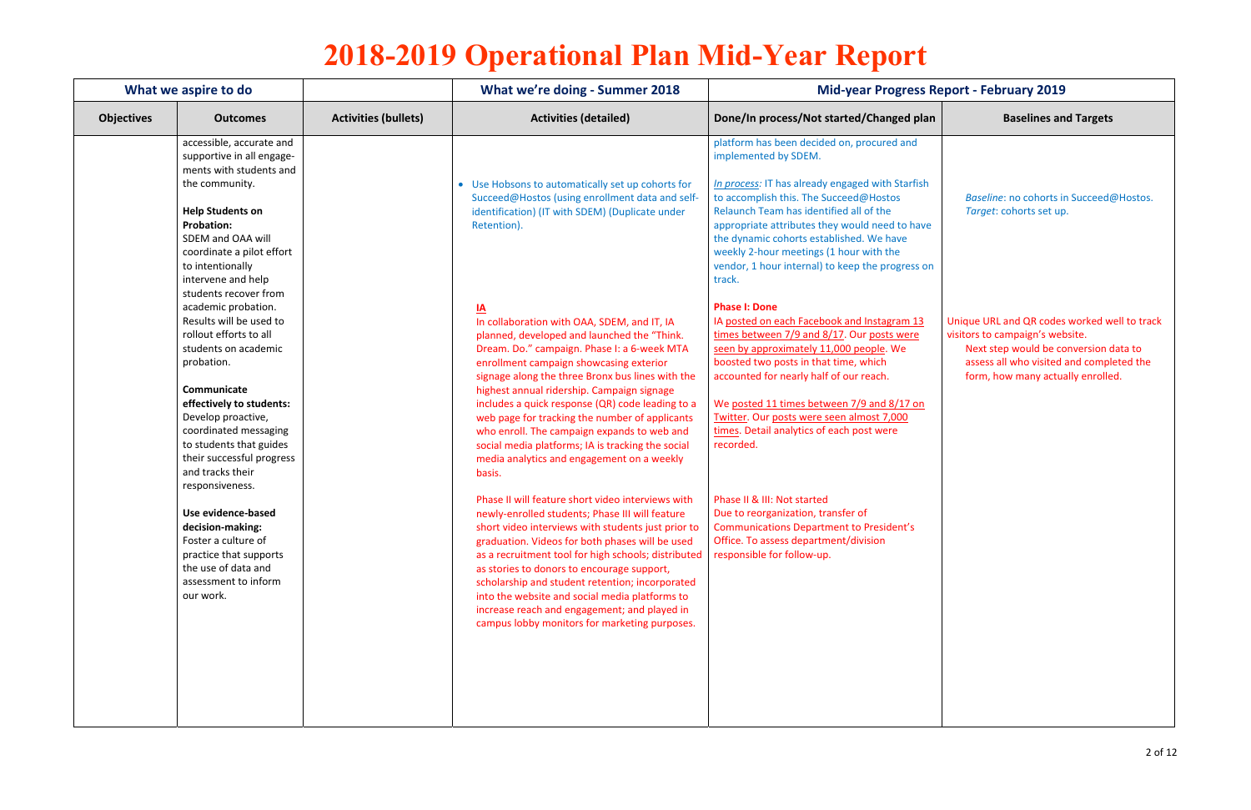| What we aspire to do |                                                                                                                                                                                                                                                                                                                                                                                                                                                                                         | What we're doing - Summer 2018 | <b>Mid-year Progress Report - February 2019</b>                                                                                                                                                                                                                                                                                                                                                                                                                                                                                                                                                                                                                                                                                                                                                                                                                                                                                                                                                                                                                                                                  |                                                                                                                                                                                                                                                                                                                                                                                                                                                                                                                                                                                                      |                                                                                                                                                                                                           |
|----------------------|-----------------------------------------------------------------------------------------------------------------------------------------------------------------------------------------------------------------------------------------------------------------------------------------------------------------------------------------------------------------------------------------------------------------------------------------------------------------------------------------|--------------------------------|------------------------------------------------------------------------------------------------------------------------------------------------------------------------------------------------------------------------------------------------------------------------------------------------------------------------------------------------------------------------------------------------------------------------------------------------------------------------------------------------------------------------------------------------------------------------------------------------------------------------------------------------------------------------------------------------------------------------------------------------------------------------------------------------------------------------------------------------------------------------------------------------------------------------------------------------------------------------------------------------------------------------------------------------------------------------------------------------------------------|------------------------------------------------------------------------------------------------------------------------------------------------------------------------------------------------------------------------------------------------------------------------------------------------------------------------------------------------------------------------------------------------------------------------------------------------------------------------------------------------------------------------------------------------------------------------------------------------------|-----------------------------------------------------------------------------------------------------------------------------------------------------------------------------------------------------------|
| <b>Objectives</b>    | <b>Outcomes</b>                                                                                                                                                                                                                                                                                                                                                                                                                                                                         | <b>Activities (bullets)</b>    | <b>Activities (detailed)</b>                                                                                                                                                                                                                                                                                                                                                                                                                                                                                                                                                                                                                                                                                                                                                                                                                                                                                                                                                                                                                                                                                     | Done/In process/Not started/Changed plan                                                                                                                                                                                                                                                                                                                                                                                                                                                                                                                                                             | <b>Baselines and Targets</b>                                                                                                                                                                              |
|                      | accessible, accurate and<br>supportive in all engage-<br>ments with students and<br>the community.<br><b>Help Students on</b><br><b>Probation:</b><br>SDEM and OAA will<br>coordinate a pilot effort<br>to intentionally<br>intervene and help                                                                                                                                                                                                                                          |                                | • Use Hobsons to automatically set up cohorts for<br>Succeed@Hostos (using enrollment data and self-<br>identification) (IT with SDEM) (Duplicate under<br>Retention).                                                                                                                                                                                                                                                                                                                                                                                                                                                                                                                                                                                                                                                                                                                                                                                                                                                                                                                                           | platform has been decided on, procured and<br>implemented by SDEM.<br>In process: IT has already engaged with Starfish<br>to accomplish this. The Succeed@Hostos<br>Relaunch Team has identified all of the<br>appropriate attributes they would need to have<br>the dynamic cohorts established. We have<br>weekly 2-hour meetings (1 hour with the<br>vendor, 1 hour internal) to keep the progress on<br>track.                                                                                                                                                                                   | Baseline: no cohorts in Succeed@Hostos.<br>Target: cohorts set up.                                                                                                                                        |
|                      | students recover from<br>academic probation.<br>Results will be used to<br>rollout efforts to all<br>students on academic<br>probation.<br>Communicate<br>effectively to students:<br>Develop proactive,<br>coordinated messaging<br>to students that guides<br>their successful progress<br>and tracks their<br>responsiveness.<br>Use evidence-based<br>decision-making:<br>Foster a culture of<br>practice that supports<br>the use of data and<br>assessment to inform<br>our work. |                                | $\underline{\mathbf{A}}$<br>In collaboration with OAA, SDEM, and IT, IA<br>planned, developed and launched the "Think.<br>Dream. Do." campaign. Phase I: a 6-week MTA<br>enrollment campaign showcasing exterior<br>signage along the three Bronx bus lines with the<br>highest annual ridership. Campaign signage<br>includes a quick response (QR) code leading to a<br>web page for tracking the number of applicants<br>who enroll. The campaign expands to web and<br>social media platforms; IA is tracking the social<br>media analytics and engagement on a weekly<br>basis.<br>Phase II will feature short video interviews with<br>newly-enrolled students; Phase III will feature<br>short video interviews with students just prior to<br>graduation. Videos for both phases will be used<br>as a recruitment tool for high schools; distributed<br>as stories to donors to encourage support,<br>scholarship and student retention; incorporated<br>into the website and social media platforms to<br>increase reach and engagement; and played in<br>campus lobby monitors for marketing purposes. | <b>Phase I: Done</b><br>IA posted on each Facebook and Instagram 13<br>times between 7/9 and 8/17. Our posts were<br>seen by approximately 11,000 people. We<br>boosted two posts in that time, which<br>accounted for nearly half of our reach.<br>We posted 11 times between 7/9 and 8/17 on<br>Twitter. Our posts were seen almost 7,000<br>times. Detail analytics of each post were<br>recorded.<br>Phase II & III: Not started<br>Due to reorganization, transfer of<br><b>Communications Department to President's</b><br>Office. To assess department/division<br>responsible for follow-up. | Unique URL and QR codes worked well to track<br>visitors to campaign's website.<br>Next step would be conversion data to<br>assess all who visited and completed the<br>form, how many actually enrolled. |
|                      |                                                                                                                                                                                                                                                                                                                                                                                                                                                                                         |                                |                                                                                                                                                                                                                                                                                                                                                                                                                                                                                                                                                                                                                                                                                                                                                                                                                                                                                                                                                                                                                                                                                                                  |                                                                                                                                                                                                                                                                                                                                                                                                                                                                                                                                                                                                      |                                                                                                                                                                                                           |

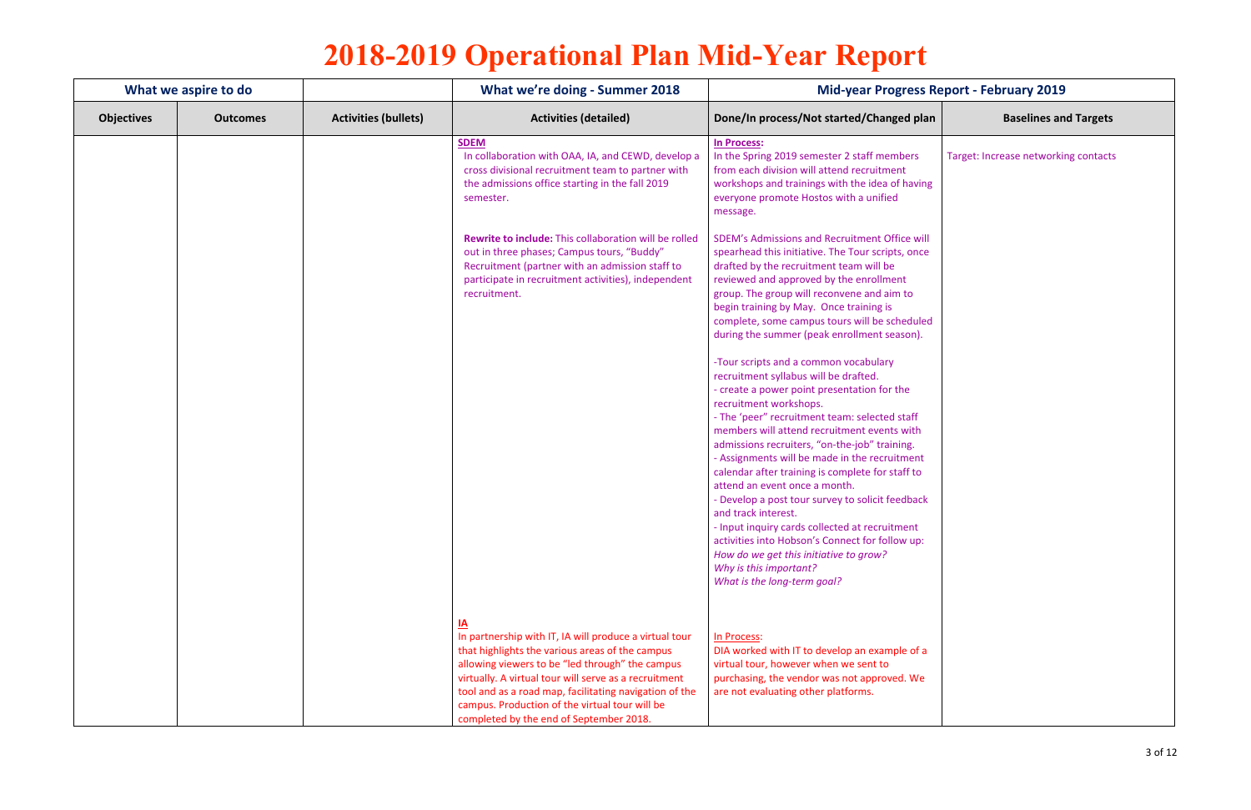| What we aspire to do |                 | What we're doing - Summer 2018 | <b>Mid-year Progress Report - February 2019</b>                                                                                                                                                                                                                                                                                                                              |                                                                                                                                                                                                                                                                                                                                                                                                                                                                                                                                                                                                                                                                                                                                   |                                             |
|----------------------|-----------------|--------------------------------|------------------------------------------------------------------------------------------------------------------------------------------------------------------------------------------------------------------------------------------------------------------------------------------------------------------------------------------------------------------------------|-----------------------------------------------------------------------------------------------------------------------------------------------------------------------------------------------------------------------------------------------------------------------------------------------------------------------------------------------------------------------------------------------------------------------------------------------------------------------------------------------------------------------------------------------------------------------------------------------------------------------------------------------------------------------------------------------------------------------------------|---------------------------------------------|
| <b>Objectives</b>    | <b>Outcomes</b> | <b>Activities (bullets)</b>    | <b>Activities (detailed)</b>                                                                                                                                                                                                                                                                                                                                                 | Done/In process/Not started/Changed plan                                                                                                                                                                                                                                                                                                                                                                                                                                                                                                                                                                                                                                                                                          | <b>Baselines and Targets</b>                |
|                      |                 |                                | <b>SDEM</b><br>In collaboration with OAA, IA, and CEWD, develop a<br>cross divisional recruitment team to partner with<br>the admissions office starting in the fall 2019<br>semester.                                                                                                                                                                                       | <b>In Process:</b><br>In the Spring 2019 semester 2 staff members<br>from each division will attend recruitment<br>workshops and trainings with the idea of having<br>everyone promote Hostos with a unified<br>message.                                                                                                                                                                                                                                                                                                                                                                                                                                                                                                          | <b>Target: Increase networking contacts</b> |
|                      |                 |                                | Rewrite to include: This collaboration will be rolled<br>out in three phases; Campus tours, "Buddy"<br>Recruitment (partner with an admission staff to<br>participate in recruitment activities), independent<br>recruitment.                                                                                                                                                | SDEM's Admissions and Recruitment Office will<br>spearhead this initiative. The Tour scripts, once<br>drafted by the recruitment team will be<br>reviewed and approved by the enrollment<br>group. The group will reconvene and aim to<br>begin training by May. Once training is<br>complete, some campus tours will be scheduled<br>during the summer (peak enrollment season).                                                                                                                                                                                                                                                                                                                                                 |                                             |
|                      |                 |                                |                                                                                                                                                                                                                                                                                                                                                                              | -Tour scripts and a common vocabulary<br>recruitment syllabus will be drafted.<br>- create a power point presentation for the<br>recruitment workshops.<br>- The 'peer" recruitment team: selected staff<br>members will attend recruitment events with<br>admissions recruiters, "on-the-job" training.<br>- Assignments will be made in the recruitment<br>calendar after training is complete for staff to<br>attend an event once a month.<br>- Develop a post tour survey to solicit feedback<br>and track interest.<br>- Input inquiry cards collected at recruitment<br>activities into Hobson's Connect for follow up:<br>How do we get this initiative to grow?<br>Why is this important?<br>What is the long-term goal? |                                             |
|                      |                 |                                | In partnership with IT, IA will produce a virtual tour<br>that highlights the various areas of the campus<br>allowing viewers to be "led through" the campus<br>virtually. A virtual tour will serve as a recruitment<br>tool and as a road map, facilitating navigation of the<br>campus. Production of the virtual tour will be<br>completed by the end of September 2018. | In Process:<br>DIA worked with IT to develop an example of a<br>virtual tour, however when we sent to<br>purchasing, the vendor was not approved. We<br>are not evaluating other platforms.                                                                                                                                                                                                                                                                                                                                                                                                                                                                                                                                       |                                             |

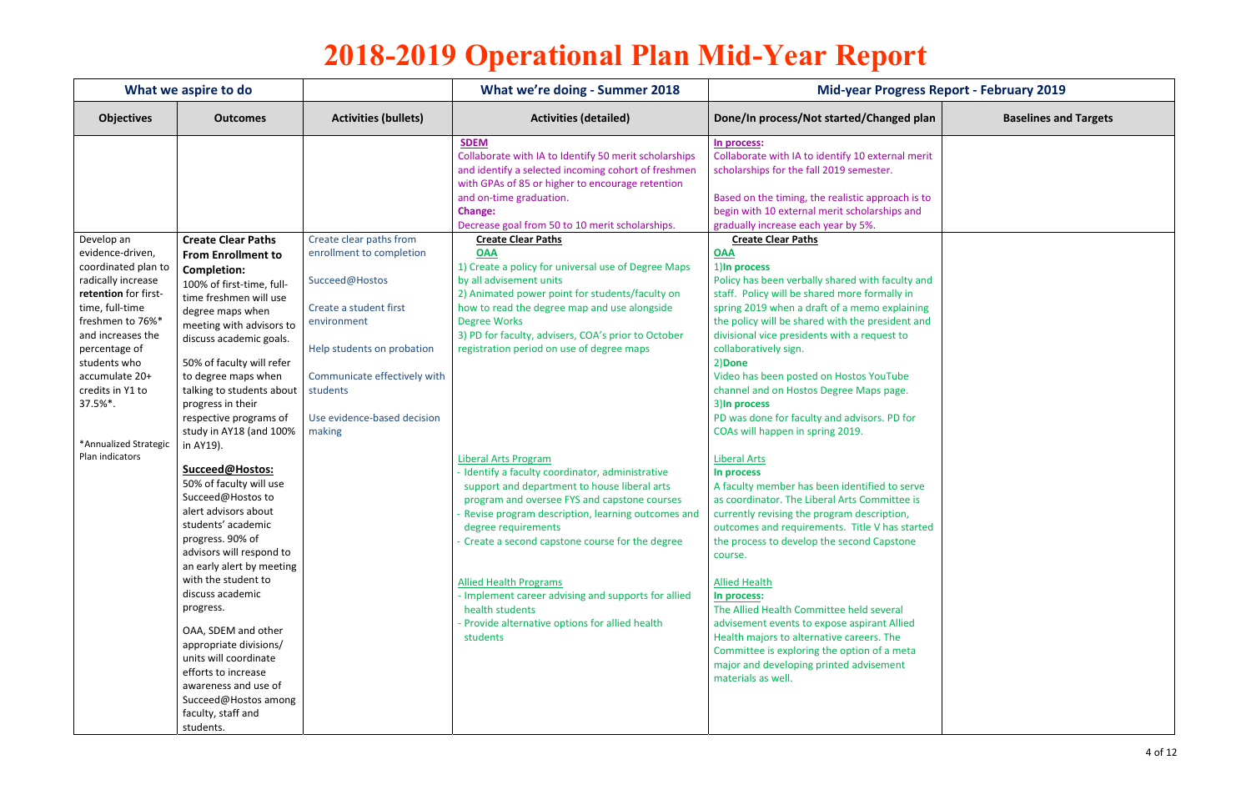| What we aspire to do                                                                                                                                                                                                                                                                          |                                                                                                                                                                                                                                                                                                                                                                                                                                                                                                                                                                                      |                                                                                                                                                                                                                                   | What we're doing - Summer 2018                                                                                                                                                                                                                                                                                                                                                                                                                                                                                                                                                                                                                                                                                                                                                                                                                                                                                                                                | <b>Mid-year Progress Report - February 2019</b>                                                                                                                                                                                                                                                                                                                                                                                                                                                                                                                                                                                                                                                                                                                                                                                                                                                                                                                                                                                                                                                                |                              |
|-----------------------------------------------------------------------------------------------------------------------------------------------------------------------------------------------------------------------------------------------------------------------------------------------|--------------------------------------------------------------------------------------------------------------------------------------------------------------------------------------------------------------------------------------------------------------------------------------------------------------------------------------------------------------------------------------------------------------------------------------------------------------------------------------------------------------------------------------------------------------------------------------|-----------------------------------------------------------------------------------------------------------------------------------------------------------------------------------------------------------------------------------|---------------------------------------------------------------------------------------------------------------------------------------------------------------------------------------------------------------------------------------------------------------------------------------------------------------------------------------------------------------------------------------------------------------------------------------------------------------------------------------------------------------------------------------------------------------------------------------------------------------------------------------------------------------------------------------------------------------------------------------------------------------------------------------------------------------------------------------------------------------------------------------------------------------------------------------------------------------|----------------------------------------------------------------------------------------------------------------------------------------------------------------------------------------------------------------------------------------------------------------------------------------------------------------------------------------------------------------------------------------------------------------------------------------------------------------------------------------------------------------------------------------------------------------------------------------------------------------------------------------------------------------------------------------------------------------------------------------------------------------------------------------------------------------------------------------------------------------------------------------------------------------------------------------------------------------------------------------------------------------------------------------------------------------------------------------------------------------|------------------------------|
| <b>Objectives</b>                                                                                                                                                                                                                                                                             | <b>Outcomes</b>                                                                                                                                                                                                                                                                                                                                                                                                                                                                                                                                                                      | <b>Activities (bullets)</b>                                                                                                                                                                                                       | <b>Activities (detailed)</b>                                                                                                                                                                                                                                                                                                                                                                                                                                                                                                                                                                                                                                                                                                                                                                                                                                                                                                                                  | Done/In process/Not started/Changed plan                                                                                                                                                                                                                                                                                                                                                                                                                                                                                                                                                                                                                                                                                                                                                                                                                                                                                                                                                                                                                                                                       |                              |
| Develop an<br>evidence-driven,<br>coordinated plan to<br>radically increase<br>retention for first-<br>time, full-time<br>freshmen to 76%*<br>and increases the<br>percentage of<br>students who<br>accumulate 20+<br>credits in Y1 to<br>37.5%*.<br>*Annualized Strategic<br>Plan indicators | <b>Create Clear Paths</b><br><b>From Enrollment to</b><br><b>Completion:</b><br>100% of first-time, full-<br>time freshmen will use<br>degree maps when<br>meeting with advisors to<br>discuss academic goals.<br>50% of faculty will refer<br>to degree maps when<br>talking to students about<br>progress in their<br>respective programs of<br>study in AY18 (and 100%<br>in AY19).<br>Succeed@Hostos:<br>50% of faculty will use<br>Succeed@Hostos to<br>alert advisors about<br>students' academic<br>progress. 90% of<br>advisors will respond to<br>an early alert by meeting | Create clear paths from<br>enrollment to completion<br>Succeed@Hostos<br>Create a student first<br>environment<br>Help students on probation<br>Communicate effectively with<br>students<br>Use evidence-based decision<br>making | <b>SDEM</b><br>Collaborate with IA to Identify 50 merit scholarships<br>and identify a selected incoming cohort of freshmen<br>with GPAs of 85 or higher to encourage retention<br>and on-time graduation.<br><b>Change:</b><br>Decrease goal from 50 to 10 merit scholarships.<br><b>Create Clear Paths</b><br><b>OAA</b><br>1) Create a policy for universal use of Degree Maps<br>by all advisement units<br>2) Animated power point for students/faculty on<br>how to read the degree map and use alongside<br><b>Degree Works</b><br>3) PD for faculty, advisers, COA's prior to October<br>registration period on use of degree maps<br><b>Liberal Arts Program</b><br>- Identify a faculty coordinator, administrative<br>support and department to house liberal arts<br>program and oversee FYS and capstone courses<br>Revise program description, learning outcomes and<br>degree requirements<br>- Create a second capstone course for the degree | In process:<br>Collaborate with IA to identify 10 external merit<br>scholarships for the fall 2019 semester.<br>Based on the timing, the realistic approach is to<br>begin with 10 external merit scholarships and<br>gradually increase each year by 5%.<br><b>Create Clear Paths</b><br><b>OAA</b><br>1) In process<br>Policy has been verbally shared with faculty and<br>staff. Policy will be shared more formally in<br>spring 2019 when a draft of a memo explaining<br>the policy will be shared with the president and<br>divisional vice presidents with a request to<br>collaboratively sign.<br>2)Done<br>Video has been posted on Hostos YouTube<br>channel and on Hostos Degree Maps page.<br>3) In process<br>PD was done for faculty and advisors. PD for<br>COAs will happen in spring 2019.<br><b>Liberal Arts</b><br>In process<br>A faculty member has been identified to serve<br>as coordinator. The Liberal Arts Committee is<br>currently revising the program description,<br>outcomes and requirements. Title V has started<br>the process to develop the second Capstone<br>course. | <b>Baselines and Targets</b> |
|                                                                                                                                                                                                                                                                                               | with the student to<br>discuss academic<br>progress.<br>OAA, SDEM and other<br>appropriate divisions/<br>units will coordinate<br>efforts to increase<br>awareness and use of<br>Succeed@Hostos among<br>faculty, staff and<br>students.                                                                                                                                                                                                                                                                                                                                             |                                                                                                                                                                                                                                   | <b>Allied Health Programs</b><br>- Implement career advising and supports for allied<br>health students<br>- Provide alternative options for allied health<br>students                                                                                                                                                                                                                                                                                                                                                                                                                                                                                                                                                                                                                                                                                                                                                                                        | <b>Allied Health</b><br>In process:<br>The Allied Health Committee held several<br>advisement events to expose aspirant Allied<br>Health majors to alternative careers. The<br>Committee is exploring the option of a meta<br>major and developing printed advisement<br>materials as well.                                                                                                                                                                                                                                                                                                                                                                                                                                                                                                                                                                                                                                                                                                                                                                                                                    |                              |



|                    | s Report - February 2019     |
|--------------------|------------------------------|
| lan                | <b>Baselines and Targets</b> |
| rit                |                              |
| to                 |                              |
|                    |                              |
| nd                 |                              |
| g<br>$\mathsf{nd}$ |                              |
|                    |                              |
|                    |                              |
|                    |                              |
|                    |                              |
| e                  |                              |
| ed:                |                              |
|                    |                              |
|                    |                              |
|                    |                              |
|                    |                              |
|                    |                              |
|                    |                              |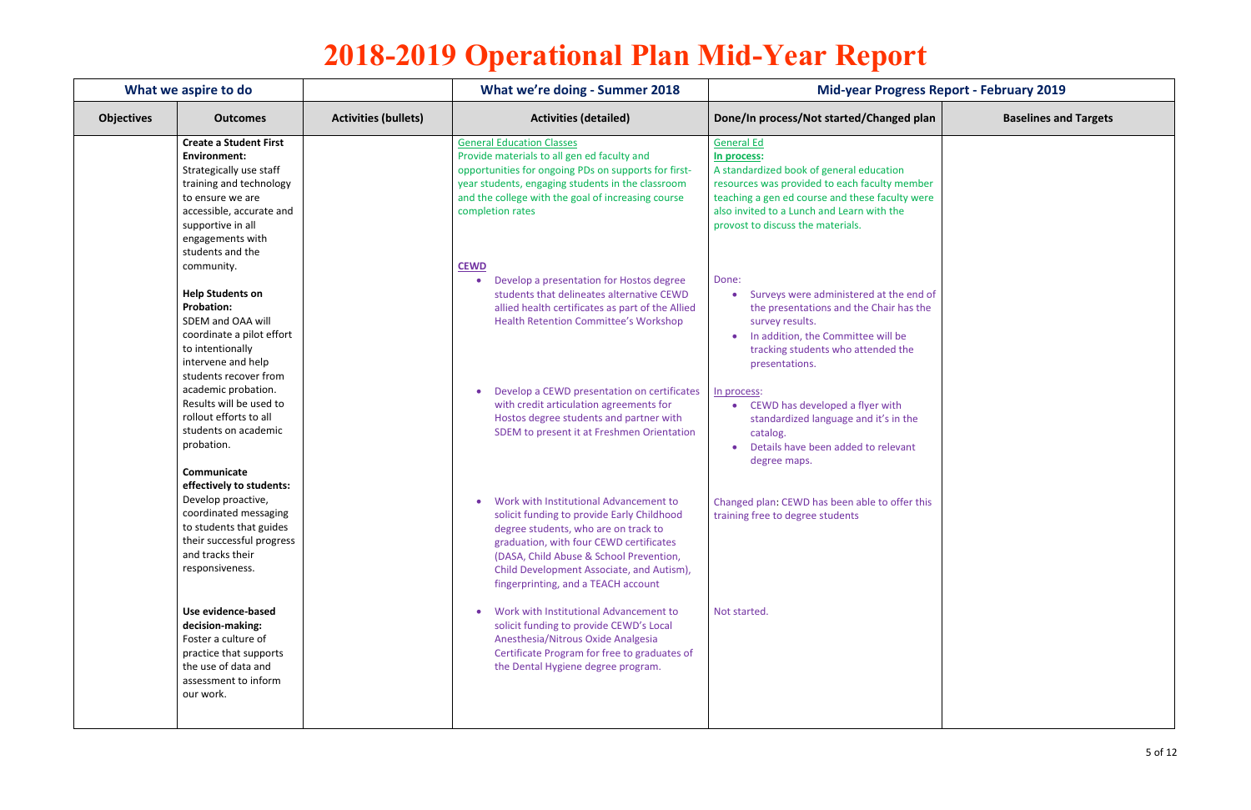| <b>Activities (bullets)</b><br>Done/In process/Not started/Changed plan<br><b>Objectives</b><br><b>Activities (detailed)</b><br><b>Outcomes</b><br><b>Create a Student First</b><br><b>General Education Classes</b><br><b>General Ed</b><br>Provide materials to all gen ed faculty and<br><b>Environment:</b><br>In process:<br>Strategically use staff<br>opportunities for ongoing PDs on supports for first-<br>A standardized book of general education<br>year students, engaging students in the classroom<br>training and technology<br>resources was provided to each faculty member<br>and the college with the goal of increasing course<br>teaching a gen ed course and these faculty were<br>to ensure we are<br>completion rates<br>also invited to a Lunch and Learn with the<br>accessible, accurate and<br>supportive in all<br>provost to discuss the materials.<br>engagements with<br>students and the<br>community.<br><b>CEWD</b><br>Develop a presentation for Hostos degree<br>Done:<br>students that delineates alternative CEWD<br><b>Help Students on</b><br>Surveys were administered at the end of<br><b>Probation:</b><br>allied health certificates as part of the Allied<br>the presentations and the Chair has the<br>SDEM and OAA will<br><b>Health Retention Committee's Workshop</b><br>survey results.<br>coordinate a pilot effort<br>In addition, the Committee will be<br>to intentionally<br>tracking students who attended the<br>intervene and help<br>presentations.<br>students recover from<br>academic probation.<br>Develop a CEWD presentation on certificates<br>In process:<br>Results will be used to<br>with credit articulation agreements for<br>CEWD has developed a flyer with<br>rollout efforts to all<br>Hostos degree students and partner with<br>standardized language and it's in the<br>students on academic<br>SDEM to present it at Freshmen Orientation<br>catalog.<br>probation.<br>Details have been added to relevant<br>degree maps.<br>Communicate<br>effectively to students:<br>Develop proactive,<br>Work with Institutional Advancement to<br>Changed plan: CEWD has been able to offer this<br>coordinated messaging<br>solicit funding to provide Early Childhood<br>training free to degree students<br>to students that guides<br>degree students, who are on track to<br>their successful progress<br>graduation, with four CEWD certificates<br>and tracks their<br>(DASA, Child Abuse & School Prevention,<br>responsiveness.<br>Child Development Associate, and Autism),<br>fingerprinting, and a TEACH account<br>Work with Institutional Advancement to<br>Not started.<br>Use evidence-based<br>decision-making:<br>solicit funding to provide CEWD's Local<br>Anesthesia/Nitrous Oxide Analgesia<br>Foster a culture of<br>Certificate Program for free to graduates of<br>practice that supports<br>the use of data and<br>the Dental Hygiene degree program.<br>assessment to inform<br>our work. | What we aspire to do |  | What we're doing - Summer 2018 | <b>Mid-year Progress Report - February 2019</b> |
|------------------------------------------------------------------------------------------------------------------------------------------------------------------------------------------------------------------------------------------------------------------------------------------------------------------------------------------------------------------------------------------------------------------------------------------------------------------------------------------------------------------------------------------------------------------------------------------------------------------------------------------------------------------------------------------------------------------------------------------------------------------------------------------------------------------------------------------------------------------------------------------------------------------------------------------------------------------------------------------------------------------------------------------------------------------------------------------------------------------------------------------------------------------------------------------------------------------------------------------------------------------------------------------------------------------------------------------------------------------------------------------------------------------------------------------------------------------------------------------------------------------------------------------------------------------------------------------------------------------------------------------------------------------------------------------------------------------------------------------------------------------------------------------------------------------------------------------------------------------------------------------------------------------------------------------------------------------------------------------------------------------------------------------------------------------------------------------------------------------------------------------------------------------------------------------------------------------------------------------------------------------------------------------------------------------------------------------------------------------------------------------------------------------------------------------------------------------------------------------------------------------------------------------------------------------------------------------------------------------------------------------------------------------------------------------------------------------------------------------------------------------------------------------------------------------------------------------------------------------------------------------------------------------------------------------------------------------------------------------------|----------------------|--|--------------------------------|-------------------------------------------------|
|                                                                                                                                                                                                                                                                                                                                                                                                                                                                                                                                                                                                                                                                                                                                                                                                                                                                                                                                                                                                                                                                                                                                                                                                                                                                                                                                                                                                                                                                                                                                                                                                                                                                                                                                                                                                                                                                                                                                                                                                                                                                                                                                                                                                                                                                                                                                                                                                                                                                                                                                                                                                                                                                                                                                                                                                                                                                                                                                                                                                |                      |  |                                | <b>Baselines and Targets</b>                    |
|                                                                                                                                                                                                                                                                                                                                                                                                                                                                                                                                                                                                                                                                                                                                                                                                                                                                                                                                                                                                                                                                                                                                                                                                                                                                                                                                                                                                                                                                                                                                                                                                                                                                                                                                                                                                                                                                                                                                                                                                                                                                                                                                                                                                                                                                                                                                                                                                                                                                                                                                                                                                                                                                                                                                                                                                                                                                                                                                                                                                |                      |  |                                |                                                 |
|                                                                                                                                                                                                                                                                                                                                                                                                                                                                                                                                                                                                                                                                                                                                                                                                                                                                                                                                                                                                                                                                                                                                                                                                                                                                                                                                                                                                                                                                                                                                                                                                                                                                                                                                                                                                                                                                                                                                                                                                                                                                                                                                                                                                                                                                                                                                                                                                                                                                                                                                                                                                                                                                                                                                                                                                                                                                                                                                                                                                |                      |  |                                |                                                 |
|                                                                                                                                                                                                                                                                                                                                                                                                                                                                                                                                                                                                                                                                                                                                                                                                                                                                                                                                                                                                                                                                                                                                                                                                                                                                                                                                                                                                                                                                                                                                                                                                                                                                                                                                                                                                                                                                                                                                                                                                                                                                                                                                                                                                                                                                                                                                                                                                                                                                                                                                                                                                                                                                                                                                                                                                                                                                                                                                                                                                |                      |  |                                |                                                 |
|                                                                                                                                                                                                                                                                                                                                                                                                                                                                                                                                                                                                                                                                                                                                                                                                                                                                                                                                                                                                                                                                                                                                                                                                                                                                                                                                                                                                                                                                                                                                                                                                                                                                                                                                                                                                                                                                                                                                                                                                                                                                                                                                                                                                                                                                                                                                                                                                                                                                                                                                                                                                                                                                                                                                                                                                                                                                                                                                                                                                |                      |  |                                |                                                 |
|                                                                                                                                                                                                                                                                                                                                                                                                                                                                                                                                                                                                                                                                                                                                                                                                                                                                                                                                                                                                                                                                                                                                                                                                                                                                                                                                                                                                                                                                                                                                                                                                                                                                                                                                                                                                                                                                                                                                                                                                                                                                                                                                                                                                                                                                                                                                                                                                                                                                                                                                                                                                                                                                                                                                                                                                                                                                                                                                                                                                |                      |  |                                |                                                 |



|                      | s Report - February 2019     |  |  |  |  |
|----------------------|------------------------------|--|--|--|--|
| lan                  | <b>Baselines and Targets</b> |  |  |  |  |
| ber<br>ere           |                              |  |  |  |  |
| $\mathsf d$ of<br>he |                              |  |  |  |  |
|                      |                              |  |  |  |  |
| his                  |                              |  |  |  |  |
|                      |                              |  |  |  |  |
|                      |                              |  |  |  |  |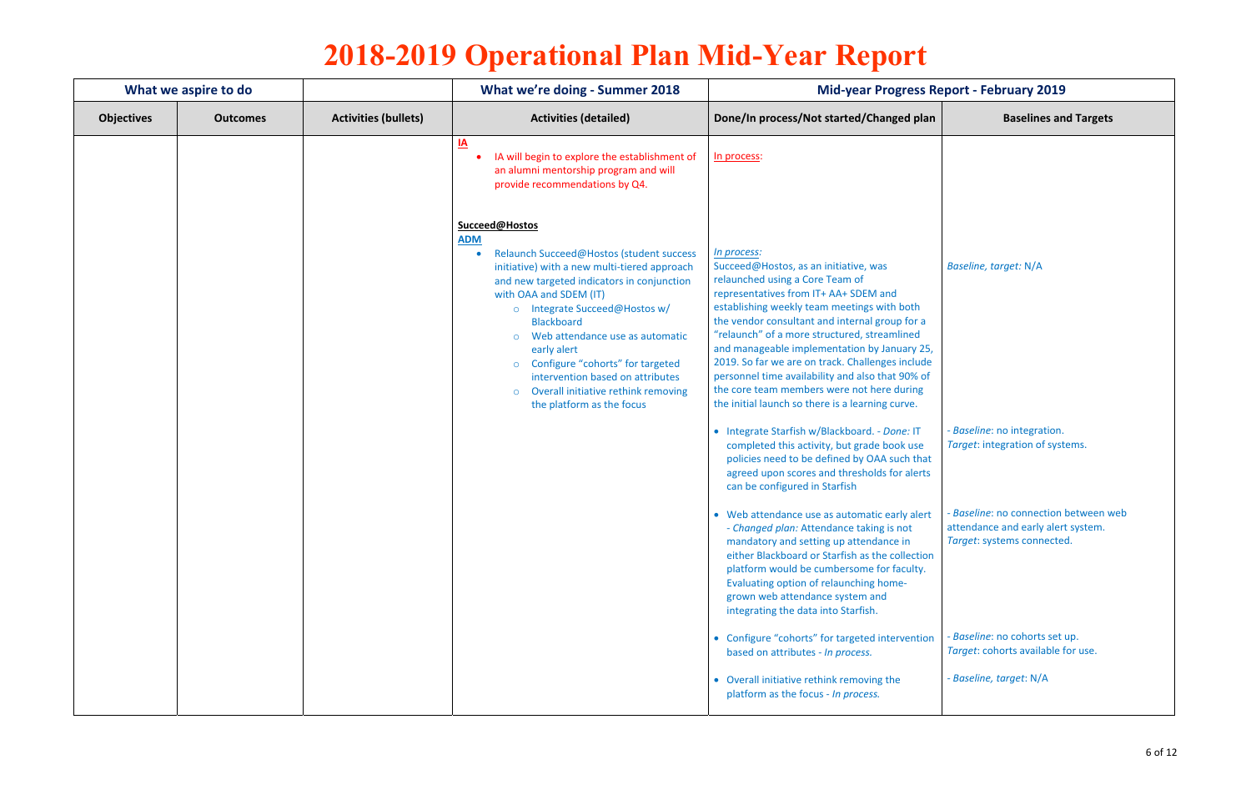| What we aspire to do |                 | What we're doing - Summer 2018 | <b>Mid-year Progress Report - February 2019</b>                                                                                                                                                                                                                                                                                                                                                                                                                              |                                                                                                                                                                                                                                                                                                                                                                                                                                                                                                                                             |                                                                                                         |
|----------------------|-----------------|--------------------------------|------------------------------------------------------------------------------------------------------------------------------------------------------------------------------------------------------------------------------------------------------------------------------------------------------------------------------------------------------------------------------------------------------------------------------------------------------------------------------|---------------------------------------------------------------------------------------------------------------------------------------------------------------------------------------------------------------------------------------------------------------------------------------------------------------------------------------------------------------------------------------------------------------------------------------------------------------------------------------------------------------------------------------------|---------------------------------------------------------------------------------------------------------|
| <b>Objectives</b>    | <b>Outcomes</b> | <b>Activities (bullets)</b>    | <b>Activities (detailed)</b>                                                                                                                                                                                                                                                                                                                                                                                                                                                 | Done/In process/Not started/Changed plan                                                                                                                                                                                                                                                                                                                                                                                                                                                                                                    | <b>Baselines and Targets</b>                                                                            |
|                      |                 |                                | $\underline{\mathbf{IA}}$<br>IA will begin to explore the establishment of<br>an alumni mentorship program and will<br>provide recommendations by Q4.                                                                                                                                                                                                                                                                                                                        | In process:                                                                                                                                                                                                                                                                                                                                                                                                                                                                                                                                 |                                                                                                         |
|                      |                 |                                | Succeed@Hostos<br><b>ADM</b><br>Relaunch Succeed@Hostos (student success<br>initiative) with a new multi-tiered approach<br>and new targeted indicators in conjunction<br>with OAA and SDEM (IT)<br>o Integrate Succeed@Hostos w/<br><b>Blackboard</b><br>Web attendance use as automatic<br>$\circ$<br>early alert<br>Configure "cohorts" for targeted<br>$\circ$<br>intervention based on attributes<br>o Overall initiative rethink removing<br>the platform as the focus | In process:<br>Succeed@Hostos, as an initiative, was<br>relaunched using a Core Team of<br>representatives from IT+ AA+ SDEM and<br>establishing weekly team meetings with both<br>the vendor consultant and internal group for a<br>"relaunch" of a more structured, streamlined<br>and manageable implementation by January 25,<br>2019. So far we are on track. Challenges include<br>personnel time availability and also that 90% of<br>the core team members were not here during<br>the initial launch so there is a learning curve. | Baseline, target: N/A                                                                                   |
|                      |                 |                                |                                                                                                                                                                                                                                                                                                                                                                                                                                                                              | • Integrate Starfish w/Blackboard. - Done: IT<br>completed this activity, but grade book use<br>policies need to be defined by OAA such that<br>agreed upon scores and thresholds for alerts<br>can be configured in Starfish                                                                                                                                                                                                                                                                                                               | Baseline: no integration.<br>Target: integration of systems.                                            |
|                      |                 |                                |                                                                                                                                                                                                                                                                                                                                                                                                                                                                              | • Web attendance use as automatic early alert<br>- Changed plan: Attendance taking is not<br>mandatory and setting up attendance in<br>either Blackboard or Starfish as the collection<br>platform would be cumbersome for faculty.<br>Evaluating option of relaunching home-<br>grown web attendance system and<br>integrating the data into Starfish.                                                                                                                                                                                     | Baseline: no connection between web<br>attendance and early alert system.<br>Target: systems connected. |
|                      |                 |                                |                                                                                                                                                                                                                                                                                                                                                                                                                                                                              | • Configure "cohorts" for targeted intervention<br>based on attributes - In process.<br>• Overall initiative rethink removing the                                                                                                                                                                                                                                                                                                                                                                                                           | Baseline: no cohorts set up.<br>Target: cohorts available for use.<br>Baseline, target: N/A             |
|                      |                 |                                |                                                                                                                                                                                                                                                                                                                                                                                                                                                                              | platform as the focus - In process.                                                                                                                                                                                                                                                                                                                                                                                                                                                                                                         |                                                                                                         |

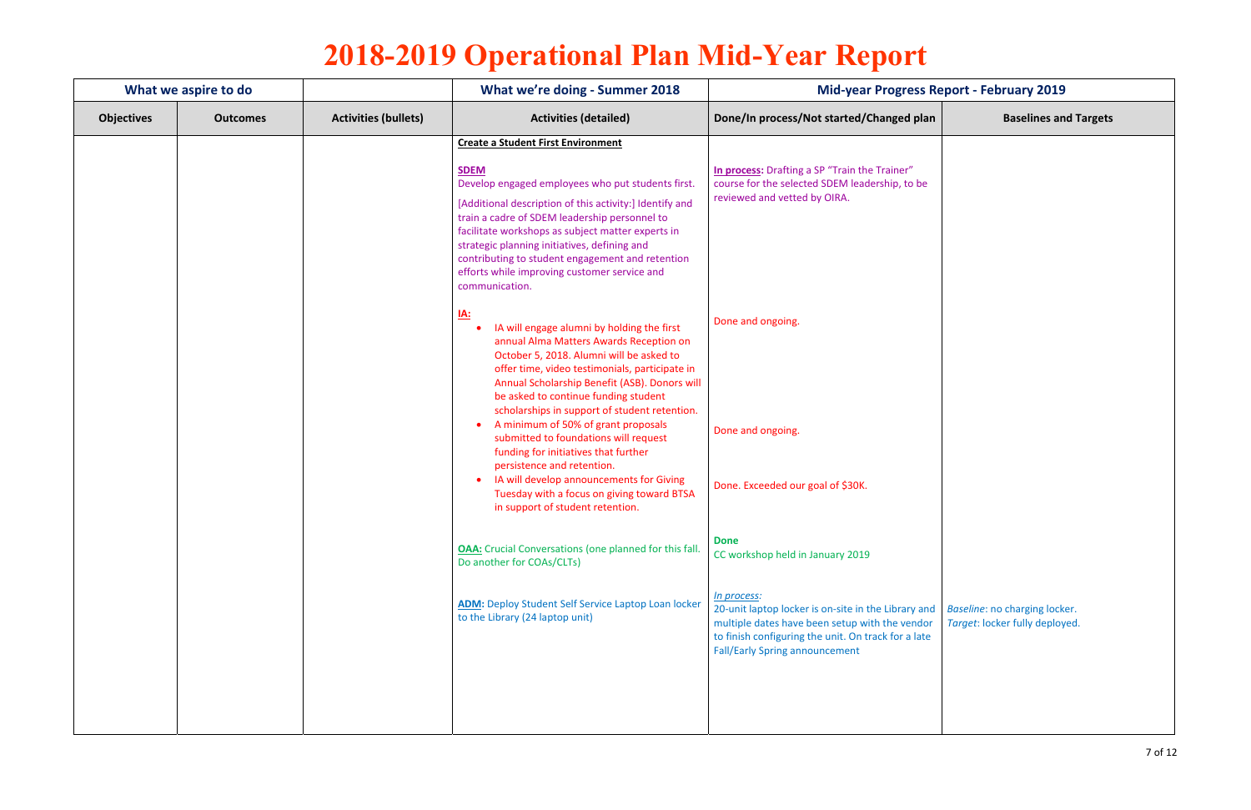| What we aspire to do |                 |                             | What we're doing - Summer 2018                                                                                                                                                                                                                                                                                                                                                                                                                       |                                                                                                                                                                                                                      | <b>Mid-year Progress Report - February 2019</b>                 |
|----------------------|-----------------|-----------------------------|------------------------------------------------------------------------------------------------------------------------------------------------------------------------------------------------------------------------------------------------------------------------------------------------------------------------------------------------------------------------------------------------------------------------------------------------------|----------------------------------------------------------------------------------------------------------------------------------------------------------------------------------------------------------------------|-----------------------------------------------------------------|
| <b>Objectives</b>    | <b>Outcomes</b> | <b>Activities (bullets)</b> | <b>Activities (detailed)</b>                                                                                                                                                                                                                                                                                                                                                                                                                         | Done/In process/Not started/Changed plan                                                                                                                                                                             | <b>Baselines and Targets</b>                                    |
|                      |                 |                             | <b>Create a Student First Environment</b><br><b>SDEM</b><br>Develop engaged employees who put students first.<br>[Additional description of this activity:] Identify and<br>train a cadre of SDEM leadership personnel to<br>facilitate workshops as subject matter experts in<br>strategic planning initiatives, defining and<br>contributing to student engagement and retention<br>efforts while improving customer service and<br>communication. | In process: Drafting a SP "Train the Trainer"<br>course for the selected SDEM leadership, to be<br>reviewed and vetted by OIRA.                                                                                      |                                                                 |
|                      |                 |                             | <u>IA:</u><br>IA will engage alumni by holding the first<br>annual Alma Matters Awards Reception on<br>October 5, 2018. Alumni will be asked to<br>offer time, video testimonials, participate in<br>Annual Scholarship Benefit (ASB). Donors will<br>be asked to continue funding student<br>scholarships in support of student retention.<br>A minimum of 50% of grant proposals<br>$\bullet$                                                      | Done and ongoing.<br>Done and ongoing.                                                                                                                                                                               |                                                                 |
|                      |                 |                             | submitted to foundations will request<br>funding for initiatives that further<br>persistence and retention.<br>IA will develop announcements for Giving<br>$\bullet$<br>Tuesday with a focus on giving toward BTSA<br>in support of student retention.                                                                                                                                                                                               | Done. Exceeded our goal of \$30K.                                                                                                                                                                                    |                                                                 |
|                      |                 |                             | <b>OAA:</b> Crucial Conversations (one planned for this fall.<br>Do another for COAs/CLTs)                                                                                                                                                                                                                                                                                                                                                           | <b>Done</b><br>CC workshop held in January 2019                                                                                                                                                                      |                                                                 |
|                      |                 |                             | <b>ADM:</b> Deploy Student Self Service Laptop Loan locker<br>to the Library (24 laptop unit)                                                                                                                                                                                                                                                                                                                                                        | In process:<br>20-unit laptop locker is on-site in the Library and<br>multiple dates have been setup with the vendor<br>to finish configuring the unit. On track for a late<br><b>Fall/Early Spring announcement</b> | Baseline: no charging locker.<br>Target: locker fully deployed. |
|                      |                 |                             |                                                                                                                                                                                                                                                                                                                                                                                                                                                      |                                                                                                                                                                                                                      |                                                                 |

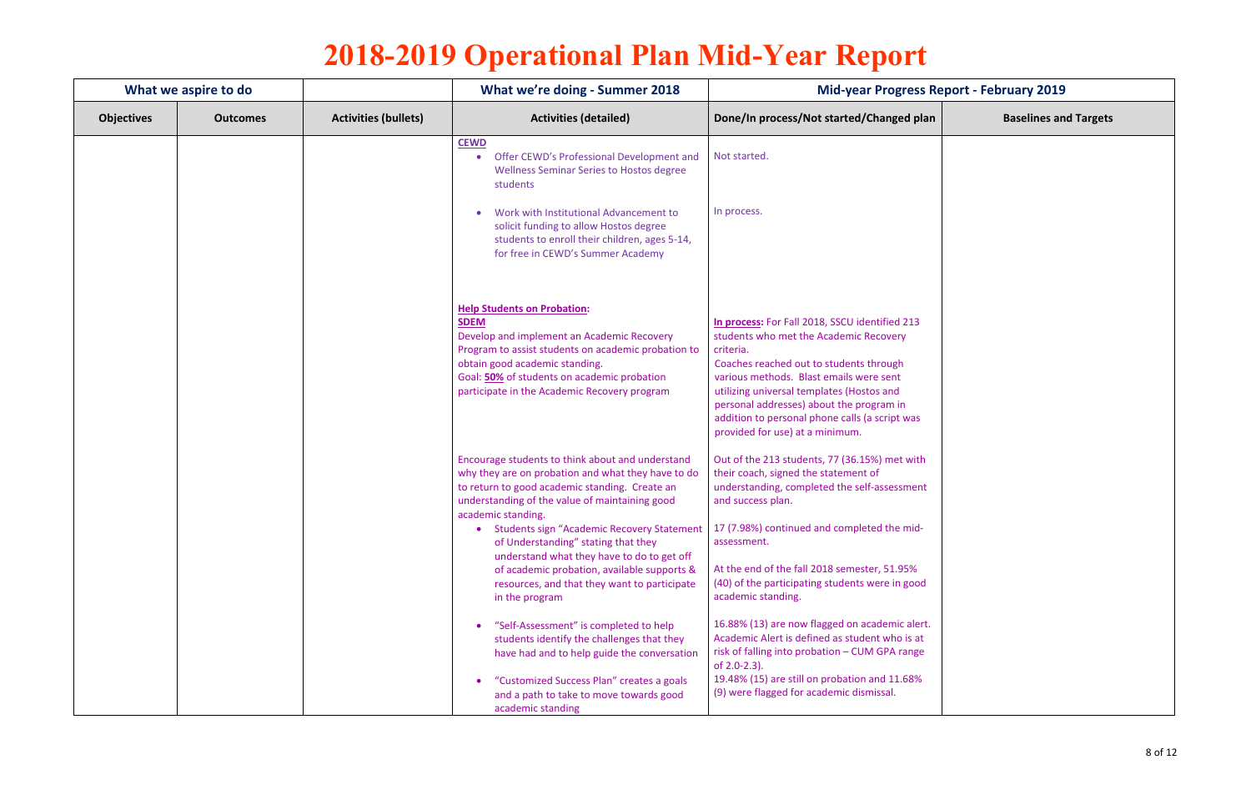|                   | What we aspire to do |                             | What we're doing - Summer 2018                                                                                                                                                                                                                                                          | <b>Mid-year Progress Report - February 2019</b>                                                                                                                                                                                                                                                                                                                           |                              |
|-------------------|----------------------|-----------------------------|-----------------------------------------------------------------------------------------------------------------------------------------------------------------------------------------------------------------------------------------------------------------------------------------|---------------------------------------------------------------------------------------------------------------------------------------------------------------------------------------------------------------------------------------------------------------------------------------------------------------------------------------------------------------------------|------------------------------|
| <b>Objectives</b> | <b>Outcomes</b>      | <b>Activities (bullets)</b> | <b>Activities (detailed)</b>                                                                                                                                                                                                                                                            | Done/In process/Not started/Changed plan                                                                                                                                                                                                                                                                                                                                  | <b>Baselines and Targets</b> |
|                   |                      |                             | <b>CEWD</b><br>Offer CEWD's Professional Development and<br><b>Wellness Seminar Series to Hostos degree</b><br>students                                                                                                                                                                 | Not started.                                                                                                                                                                                                                                                                                                                                                              |                              |
|                   |                      |                             | Work with Institutional Advancement to<br>$\bullet$<br>solicit funding to allow Hostos degree<br>students to enroll their children, ages 5-14,<br>for free in CEWD's Summer Academy                                                                                                     | In process.                                                                                                                                                                                                                                                                                                                                                               |                              |
|                   |                      |                             | <b>Help Students on Probation:</b><br><b>SDEM</b><br>Develop and implement an Academic Recovery<br>Program to assist students on academic probation to<br>obtain good academic standing.<br>Goal: 50% of students on academic probation<br>participate in the Academic Recovery program | In process: For Fall 2018, SSCU identified 213<br>students who met the Academic Recovery<br>criteria.<br>Coaches reached out to students through<br>various methods. Blast emails were sent<br>utilizing universal templates (Hostos and<br>personal addresses) about the program in<br>addition to personal phone calls (a script was<br>provided for use) at a minimum. |                              |
|                   |                      |                             | Encourage students to think about and understand<br>why they are on probation and what they have to do<br>to return to good academic standing. Create an<br>understanding of the value of maintaining good<br>academic standing.                                                        | Out of the 213 students, 77 (36.15%) met with<br>their coach, signed the statement of<br>understanding, completed the self-assessment<br>and success plan.                                                                                                                                                                                                                |                              |
|                   |                      |                             | • Students sign "Academic Recovery Statement<br>of Understanding" stating that they<br>understand what they have to do to get off                                                                                                                                                       | 17 (7.98%) continued and completed the mid-<br>assessment.                                                                                                                                                                                                                                                                                                                |                              |
|                   |                      |                             | of academic probation, available supports &<br>resources, and that they want to participate<br>in the program                                                                                                                                                                           | At the end of the fall 2018 semester, 51.95%<br>(40) of the participating students were in good<br>academic standing.                                                                                                                                                                                                                                                     |                              |
|                   |                      |                             | "Self-Assessment" is completed to help<br>$\bullet$<br>students identify the challenges that they<br>have had and to help guide the conversation                                                                                                                                        | 16.88% (13) are now flagged on academic alert.<br>Academic Alert is defined as student who is at<br>risk of falling into probation - CUM GPA range<br>of 2.0-2.3).                                                                                                                                                                                                        |                              |
|                   |                      |                             | "Customized Success Plan" creates a goals<br>$\bullet$<br>and a path to take to move towards good<br>academic standing                                                                                                                                                                  | 19.48% (15) are still on probation and 11.68%<br>(9) were flagged for academic dismissal.                                                                                                                                                                                                                                                                                 |                              |

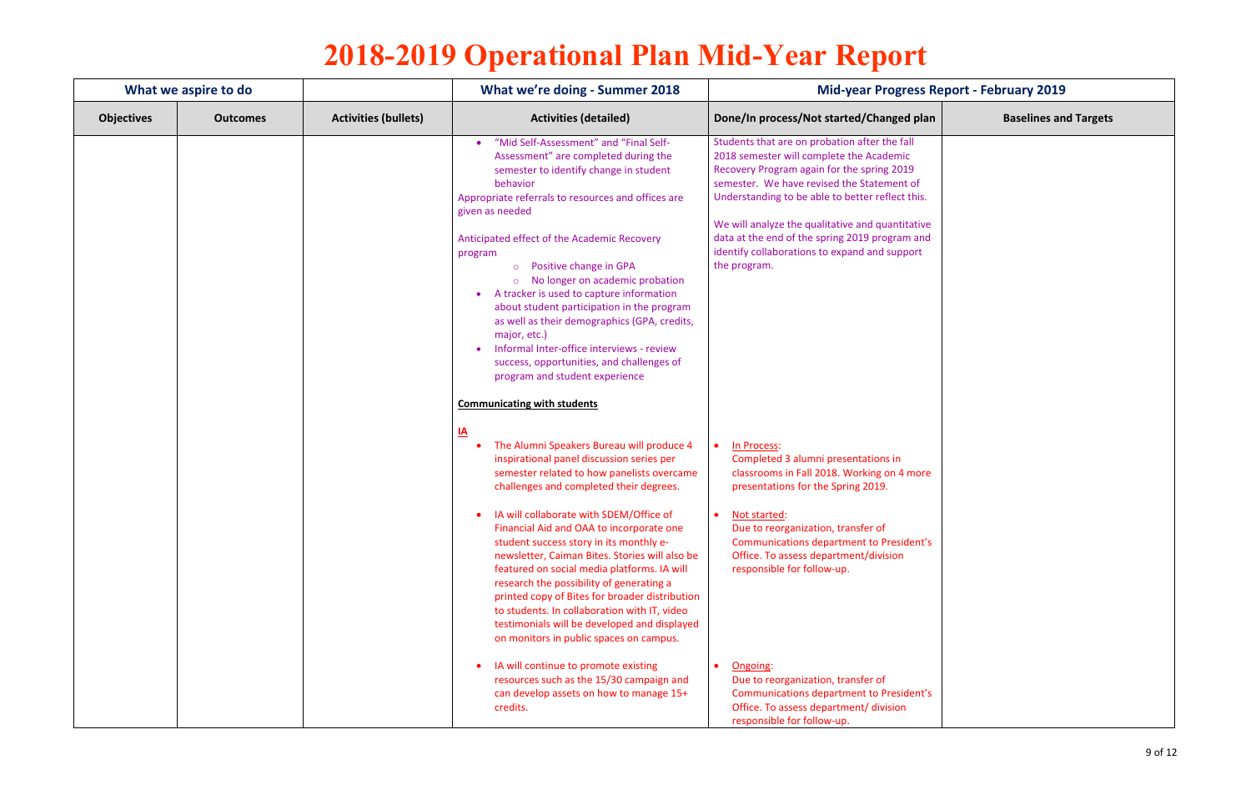| What we aspire to do |                 |                             | What we're doing - Summer 2018                                                                                                                                                                                                                                                                                                                                                                                                                                                                                                                                                                                                                                                                                                                                            |                                                                                                                                                                                                                                                                                                                                                                                                                  | <b>Mid-year Progress Report - February 2019</b> |  |
|----------------------|-----------------|-----------------------------|---------------------------------------------------------------------------------------------------------------------------------------------------------------------------------------------------------------------------------------------------------------------------------------------------------------------------------------------------------------------------------------------------------------------------------------------------------------------------------------------------------------------------------------------------------------------------------------------------------------------------------------------------------------------------------------------------------------------------------------------------------------------------|------------------------------------------------------------------------------------------------------------------------------------------------------------------------------------------------------------------------------------------------------------------------------------------------------------------------------------------------------------------------------------------------------------------|-------------------------------------------------|--|
| <b>Objectives</b>    | <b>Outcomes</b> | <b>Activities (bullets)</b> | <b>Activities (detailed)</b>                                                                                                                                                                                                                                                                                                                                                                                                                                                                                                                                                                                                                                                                                                                                              | Done/In process/Not started/Changed plan                                                                                                                                                                                                                                                                                                                                                                         | <b>Baselines and Targets</b>                    |  |
|                      |                 |                             | "Mid Self-Assessment" and "Final Self-<br>Assessment" are completed during the<br>semester to identify change in student<br>behavior<br>Appropriate referrals to resources and offices are<br>given as needed<br>Anticipated effect of the Academic Recovery<br>program<br>Positive change in GPA<br>$\circ$<br>No longer on academic probation<br>A tracker is used to capture information<br>about student participation in the program<br>as well as their demographics (GPA, credits,<br>major, etc.)<br>Informal Inter-office interviews - review<br>success, opportunities, and challenges of<br>program and student experience<br><b>Communicating with students</b>                                                                                               | Students that are on probation after the fall<br>2018 semester will complete the Academic<br>Recovery Program again for the spring 2019<br>semester. We have revised the Statement of<br>Understanding to be able to better reflect this.<br>We will analyze the qualitative and quantitative<br>data at the end of the spring 2019 program and<br>identify collaborations to expand and support<br>the program. |                                                 |  |
|                      |                 |                             | <u>IA</u><br>The Alumni Speakers Bureau will produce 4<br>inspirational panel discussion series per<br>semester related to how panelists overcame<br>challenges and completed their degrees.<br>IA will collaborate with SDEM/Office of<br>Financial Aid and OAA to incorporate one<br>student success story in its monthly e-<br>newsletter, Caiman Bites. Stories will also be<br>featured on social media platforms. IA will<br>research the possibility of generating a<br>printed copy of Bites for broader distribution<br>to students. In collaboration with IT, video<br>testimonials will be developed and displayed<br>on monitors in public spaces on campus.<br>IA will continue to promote existing<br>$\bullet$<br>resources such as the 15/30 campaign and | In Process:<br>Completed 3 alumni presentations in<br>classrooms in Fall 2018. Working on 4 more<br>presentations for the Spring 2019.<br>Not started:<br>Due to reorganization, transfer of<br><b>Communications department to President's</b><br>Office. To assess department/division<br>responsible for follow-up.<br>Ongoing:<br>$\bullet$<br>Due to reorganization, transfer of                            |                                                 |  |
|                      |                 |                             | can develop assets on how to manage 15+<br>credits.                                                                                                                                                                                                                                                                                                                                                                                                                                                                                                                                                                                                                                                                                                                       | <b>Communications department to President's</b><br>Office. To assess department/ division<br>responsible for follow-up.                                                                                                                                                                                                                                                                                          |                                                 |  |



|                                 | ress Report - February 2019  |  |  |  |  |
|---------------------------------|------------------------------|--|--|--|--|
| d plan                          | <b>Baselines and Targets</b> |  |  |  |  |
| $\overline{\mathsf{all}}$<br>ic |                              |  |  |  |  |
| 19                              |                              |  |  |  |  |
| $\mathsf{t}$ of<br>t this.      |                              |  |  |  |  |
|                                 |                              |  |  |  |  |
| itative<br>m and                |                              |  |  |  |  |
| port                            |                              |  |  |  |  |
|                                 |                              |  |  |  |  |
|                                 |                              |  |  |  |  |
|                                 |                              |  |  |  |  |
|                                 |                              |  |  |  |  |
|                                 |                              |  |  |  |  |
|                                 |                              |  |  |  |  |
|                                 |                              |  |  |  |  |
|                                 |                              |  |  |  |  |
|                                 |                              |  |  |  |  |
|                                 |                              |  |  |  |  |
| more                            |                              |  |  |  |  |
|                                 |                              |  |  |  |  |
|                                 |                              |  |  |  |  |
| dent's                          |                              |  |  |  |  |
|                                 |                              |  |  |  |  |
|                                 |                              |  |  |  |  |
|                                 |                              |  |  |  |  |
|                                 |                              |  |  |  |  |
|                                 |                              |  |  |  |  |
|                                 |                              |  |  |  |  |
| dent's                          |                              |  |  |  |  |
| ì                               |                              |  |  |  |  |
|                                 |                              |  |  |  |  |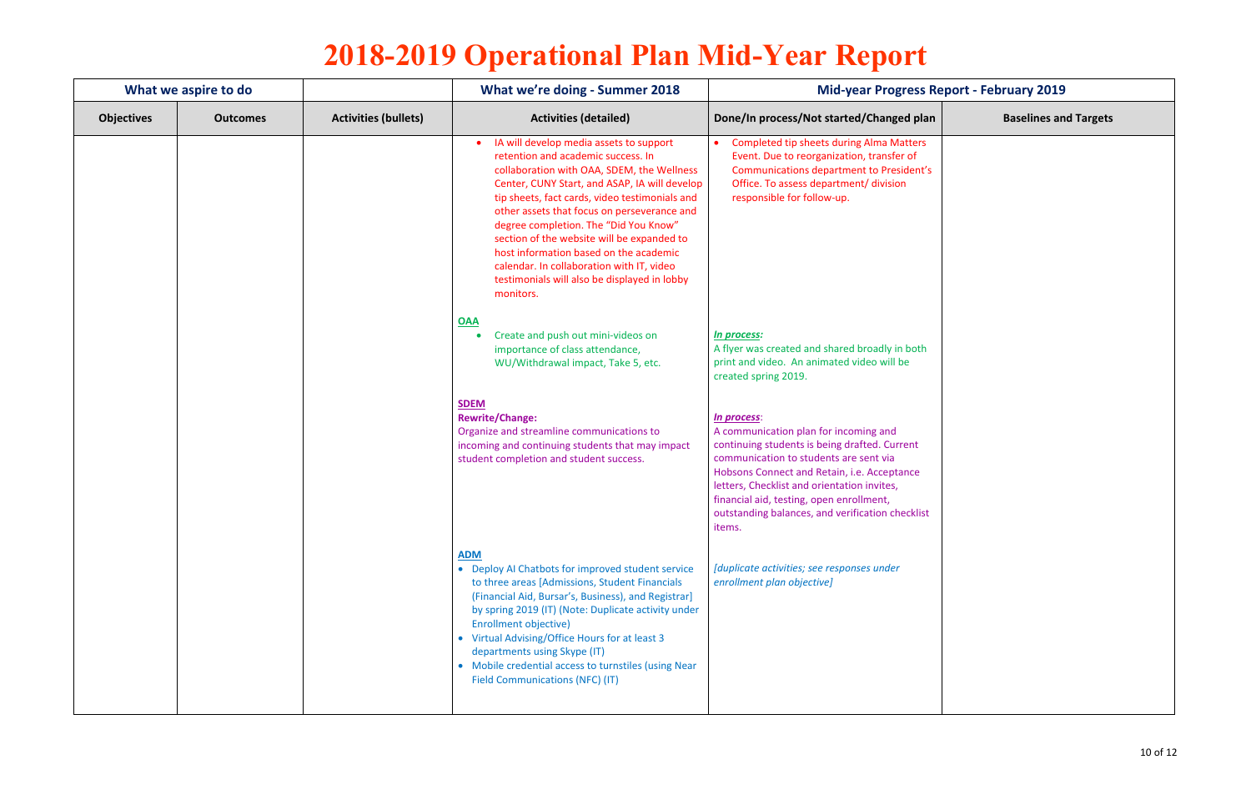| What we aspire to do |                 |                             | What we're doing - Summer 2018                                                                                                                                                                                                                                                                                                                                                                                                                                                                                           | <b>Mid-year Progress Report - February 2019</b>                                                                                                                                                                                                                                                                                                         |                              |
|----------------------|-----------------|-----------------------------|--------------------------------------------------------------------------------------------------------------------------------------------------------------------------------------------------------------------------------------------------------------------------------------------------------------------------------------------------------------------------------------------------------------------------------------------------------------------------------------------------------------------------|---------------------------------------------------------------------------------------------------------------------------------------------------------------------------------------------------------------------------------------------------------------------------------------------------------------------------------------------------------|------------------------------|
| <b>Objectives</b>    | <b>Outcomes</b> | <b>Activities (bullets)</b> | <b>Activities (detailed)</b>                                                                                                                                                                                                                                                                                                                                                                                                                                                                                             | Done/In process/Not started/Changed plan                                                                                                                                                                                                                                                                                                                | <b>Baselines and Targets</b> |
|                      |                 |                             | IA will develop media assets to support<br>retention and academic success. In<br>collaboration with OAA, SDEM, the Wellness<br>Center, CUNY Start, and ASAP, IA will develop<br>tip sheets, fact cards, video testimonials and<br>other assets that focus on perseverance and<br>degree completion. The "Did You Know"<br>section of the website will be expanded to<br>host information based on the academic<br>calendar. In collaboration with IT, video<br>testimonials will also be displayed in lobby<br>monitors. | <b>Completed tip sheets during Alma Matters</b><br>Event. Due to reorganization, transfer of<br><b>Communications department to President's</b><br>Office. To assess department/ division<br>responsible for follow-up.                                                                                                                                 |                              |
|                      |                 |                             | <b>OAA</b><br>Create and push out mini-videos on<br>$\bullet$<br>importance of class attendance,<br>WU/Withdrawal impact, Take 5, etc.                                                                                                                                                                                                                                                                                                                                                                                   | <u>In process</u> :<br>A flyer was created and shared broadly in both<br>print and video. An animated video will be<br>created spring 2019.                                                                                                                                                                                                             |                              |
|                      |                 |                             | <b>SDEM</b><br><b>Rewrite/Change:</b><br>Organize and streamline communications to<br>incoming and continuing students that may impact<br>student completion and student success.                                                                                                                                                                                                                                                                                                                                        | In process:<br>A communication plan for incoming and<br>continuing students is being drafted. Current<br>communication to students are sent via<br>Hobsons Connect and Retain, i.e. Acceptance<br>letters, Checklist and orientation invites,<br>financial aid, testing, open enrollment,<br>outstanding balances, and verification checklist<br>items. |                              |
|                      |                 |                             | <b>ADM</b><br>• Deploy AI Chatbots for improved student service<br>to three areas [Admissions, Student Financials<br>(Financial Aid, Bursar's, Business), and Registrar]<br>by spring 2019 (IT) (Note: Duplicate activity under<br>Enrollment objective)<br>• Virtual Advising/Office Hours for at least 3<br>departments using Skype (IT)<br>• Mobile credential access to turnstiles (using Near<br><b>Field Communications (NFC) (IT)</b>                                                                             | [duplicate activities; see responses under<br>enrollment plan objective]                                                                                                                                                                                                                                                                                |                              |

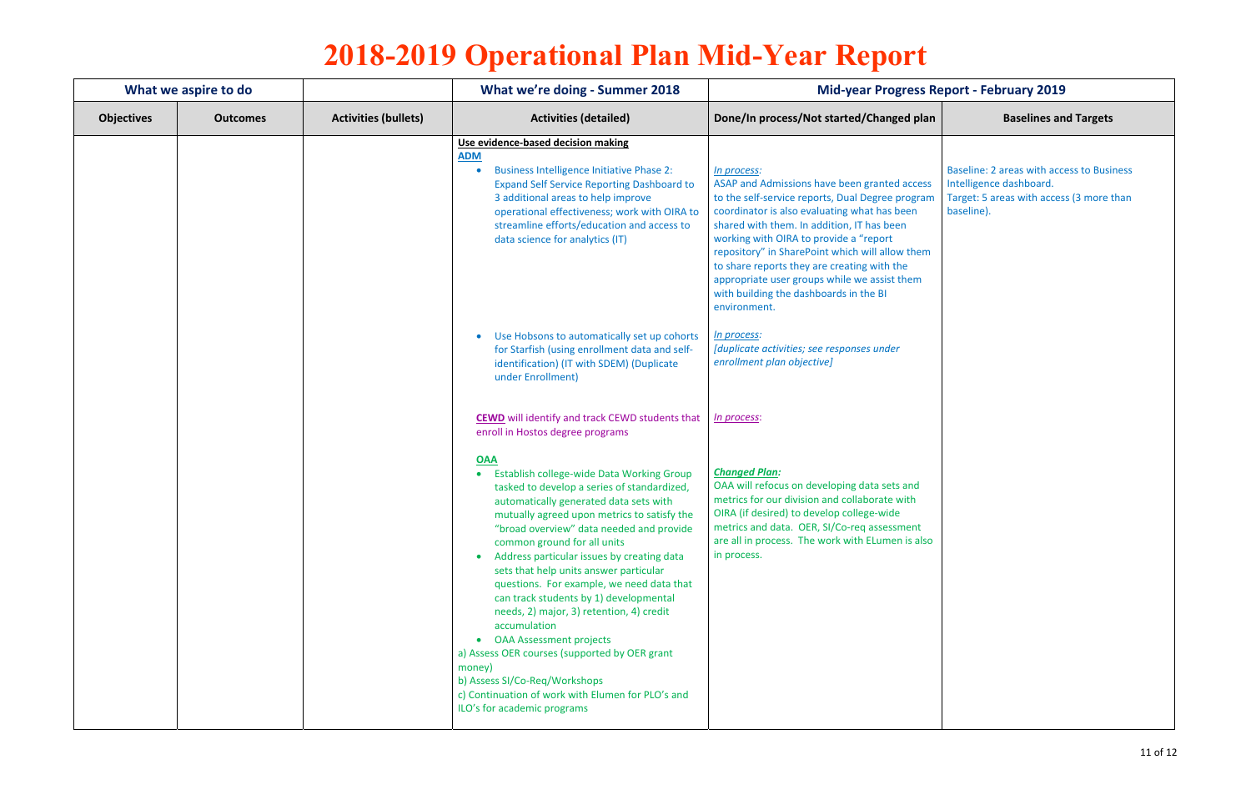| What we aspire to do |                 |                             | What we're doing - Summer 2018                                                                                                                                                                                                                                                                                                                                                                                                                                                                                                                                                                                                                                                                                                          | <b>Mid-year Progress Report - February 2019</b>                                                                                                                                                                                                                                                                                                                                                                                                                     |                                                                                                                                |
|----------------------|-----------------|-----------------------------|-----------------------------------------------------------------------------------------------------------------------------------------------------------------------------------------------------------------------------------------------------------------------------------------------------------------------------------------------------------------------------------------------------------------------------------------------------------------------------------------------------------------------------------------------------------------------------------------------------------------------------------------------------------------------------------------------------------------------------------------|---------------------------------------------------------------------------------------------------------------------------------------------------------------------------------------------------------------------------------------------------------------------------------------------------------------------------------------------------------------------------------------------------------------------------------------------------------------------|--------------------------------------------------------------------------------------------------------------------------------|
| <b>Objectives</b>    | <b>Outcomes</b> | <b>Activities (bullets)</b> | <b>Activities (detailed)</b>                                                                                                                                                                                                                                                                                                                                                                                                                                                                                                                                                                                                                                                                                                            | Done/In process/Not started/Changed plan                                                                                                                                                                                                                                                                                                                                                                                                                            | <b>Baselines and Targets</b>                                                                                                   |
|                      |                 |                             | Use evidence-based decision making<br><b>ADM</b><br><b>Business Intelligence Initiative Phase 2:</b><br><b>Expand Self Service Reporting Dashboard to</b><br>3 additional areas to help improve<br>operational effectiveness; work with OIRA to<br>streamline efforts/education and access to<br>data science for analytics (IT)                                                                                                                                                                                                                                                                                                                                                                                                        | In process:<br>ASAP and Admissions have been granted access<br>to the self-service reports, Dual Degree program<br>coordinator is also evaluating what has been<br>shared with them. In addition, IT has been<br>working with OIRA to provide a "report<br>repository" in SharePoint which will allow them<br>to share reports they are creating with the<br>appropriate user groups while we assist them<br>with building the dashboards in the BI<br>environment. | Baseline: 2 areas with access to Business<br>Intelligence dashboard.<br>Target: 5 areas with access (3 more than<br>baseline). |
|                      |                 |                             | Use Hobsons to automatically set up cohorts<br>for Starfish (using enrollment data and self-<br>identification) (IT with SDEM) (Duplicate<br>under Enrollment)                                                                                                                                                                                                                                                                                                                                                                                                                                                                                                                                                                          | In process:<br>[duplicate activities; see responses under<br>enrollment plan objective]                                                                                                                                                                                                                                                                                                                                                                             |                                                                                                                                |
|                      |                 |                             | <b>CEWD</b> will identify and track CEWD students that<br>enroll in Hostos degree programs                                                                                                                                                                                                                                                                                                                                                                                                                                                                                                                                                                                                                                              | In process:                                                                                                                                                                                                                                                                                                                                                                                                                                                         |                                                                                                                                |
|                      |                 |                             | <b>OAA</b><br>Establish college-wide Data Working Group<br>tasked to develop a series of standardized,<br>automatically generated data sets with<br>mutually agreed upon metrics to satisfy the<br>"broad overview" data needed and provide<br>common ground for all units<br>Address particular issues by creating data<br>sets that help units answer particular<br>questions. For example, we need data that<br>can track students by 1) developmental<br>needs, 2) major, 3) retention, 4) credit<br>accumulation<br><b>OAA Assessment projects</b><br>a) Assess OER courses (supported by OER grant<br>money)<br>b) Assess SI/Co-Req/Workshops<br>c) Continuation of work with Elumen for PLO's and<br>ILO's for academic programs | <b>Changed Plan:</b><br>OAA will refocus on developing data sets and<br>metrics for our division and collaborate with<br>OIRA (if desired) to develop college-wide<br>metrics and data. OER, SI/Co-req assessment<br>are all in process. The work with ELumen is also<br>in process.                                                                                                                                                                                |                                                                                                                                |